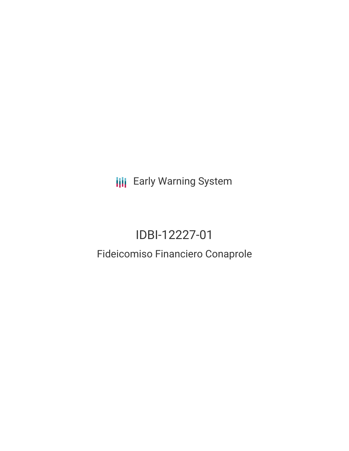**III** Early Warning System

# IDBI-12227-01

## Fideicomiso Financiero Conaprole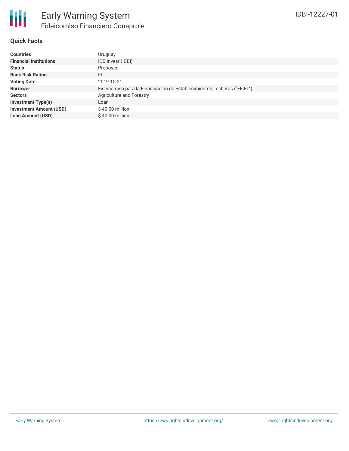

#### **Quick Facts**

| <b>Countries</b>               | Uruguay                                                                 |
|--------------------------------|-------------------------------------------------------------------------|
| <b>Financial Institutions</b>  | IDB Invest (IDBI)                                                       |
| <b>Status</b>                  | Proposed                                                                |
| <b>Bank Risk Rating</b>        | FI                                                                      |
| <b>Voting Date</b>             | 2019-10-21                                                              |
| <b>Borrower</b>                | Fideicomiso para la Financiacion de Establecimientos Lecheros ("FFIEL") |
| <b>Sectors</b>                 | Agriculture and Forestry                                                |
| <b>Investment Type(s)</b>      | Loan                                                                    |
| <b>Investment Amount (USD)</b> | $$40.00$ million                                                        |
| <b>Loan Amount (USD)</b>       | \$40.00 million                                                         |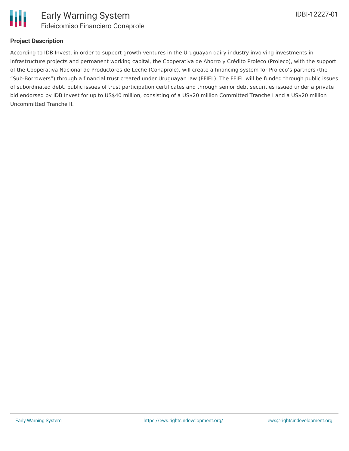

## **Project Description**

According to IDB Invest, in order to support growth ventures in the Uruguayan dairy industry involving investments in infrastructure projects and permanent working capital, the Cooperativa de Ahorro y Crédito Proleco (Proleco), with the support of the Cooperativa Nacional de Productores de Leche (Conaprole), will create a financing system for Proleco's partners (the "Sub-Borrowers") through a financial trust created under Uruguayan law (FFIEL). The FFIEL will be funded through public issues of subordinated debt, public issues of trust participation certificates and through senior debt securities issued under a private bid endorsed by IDB Invest for up to US\$40 million, consisting of a US\$20 million Committed Tranche I and a US\$20 million Uncommitted Tranche II.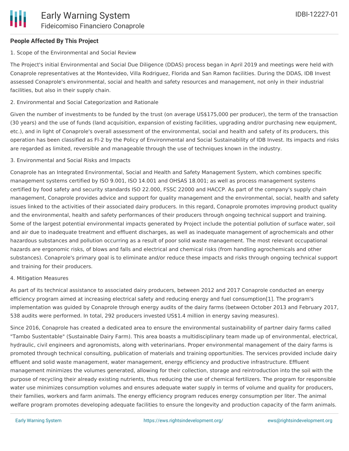## **People Affected By This Project**

#### 1. Scope of the Environmental and Social Review

The Project's initial Environmental and Social Due Diligence (DDAS) process began in April 2019 and meetings were held with Conaprole representatives at the Montevideo, Villa Rodriguez, Florida and San Ramon facilities. During the DDAS, IDB Invest assessed Conaprole's environmental, social and health and safety resources and management, not only in their industrial facilities, but also in their supply chain.

#### 2. Environmental and Social Categorization and Rationale

Given the number of investments to be funded by the trust (on average US\$175,000 per producer), the term of the transaction (30 years) and the use of funds (land acquisition, expansion of existing facilities, upgrading and/or purchasing new equipment, etc.), and in light of Conaprole's overall assessment of the environmental, social and health and safety of its producers, this operation has been classified as FI-2 by the Policy of Environmental and Social Sustainability of IDB Invest. Its impacts and risks are regarded as limited, reversible and manageable through the use of techniques known in the industry.

#### 3. Environmental and Social Risks and Impacts

Conaprole has an Integrated Environmental, Social and Health and Safety Management System, which combines specific management systems certified by ISO 9.001, ISO 14.001 and OHSAS 18.001; as well as process management systems certified by food safety and security standards ISO 22.000, FSSC 22000 and HACCP. As part of the company's supply chain management, Conaprole provides advice and support for quality management and the environmental, social, health and safety issues linked to the activities of their associated dairy producers. In this regard, Conaprole promotes improving product quality and the environmental, health and safety performances of their producers through ongoing technical support and training. Some of the largest potential environmental impacts generated by Project include the potential pollution of surface water, soil and air due to inadequate treatment and effluent discharges, as well as inadequate management of agrochemicals and other hazardous substances and pollution occurring as a result of poor solid waste management. The most relevant occupational hazards are ergonomic risks, of blows and falls and electrical and chemical risks (from handling agrochemicals and other substances). Conaprole's primary goal is to eliminate and/or reduce these impacts and risks through ongoing technical support and training for their producers.

#### 4. Mitigation Measures

As part of its technical assistance to associated dairy producers, between 2012 and 2017 Conaprole conducted an energy efficiency program aimed at increasing electrical safety and reducing energy and fuel consumption[1]. The program's implementation was guided by Conaprole through energy audits of the dairy farms (between October 2013 and February 2017, 538 audits were performed. In total, 292 producers invested US\$1.4 million in energy saving measures).

Since 2016, Conaprole has created a dedicated area to ensure the environmental sustainability of partner dairy farms called "Tambo Sustentable" (Sustainable Dairy Farm). This area boasts a multidisciplinary team made up of environmental, electrical, hydraulic, civil engineers and agronomists, along with veterinarians. Proper environmental management of the dairy farms is promoted through technical consulting, publication of materials and training opportunities. The services provided include dairy effluent and solid waste management, water management, energy efficiency and productive infrastructure. Effluent management minimizes the volumes generated, allowing for their collection, storage and reintroduction into the soil with the purpose of recycling their already existing nutrients, thus reducing the use of chemical fertilizers. The program for responsible water use minimizes consumption volumes and ensures adequate water supply in terms of volume and quality for producers, their families, workers and farm animals. The energy efficiency program reduces energy consumption per liter. The animal welfare program promotes developing adequate facilities to ensure the longevity and production capacity of the farm animals.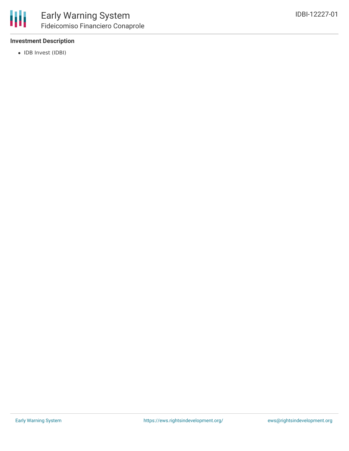

## **Investment Description**

• IDB Invest (IDBI)